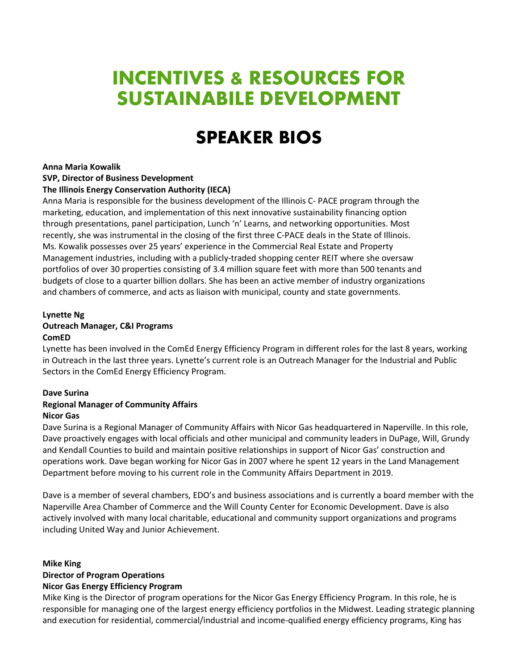# **INCENTIVES & RESOURCES FOR SUSTAINABILE DEVELOPMENT**

# **SPEAKER BIOS**

# **Anna Maria Kowalik**

# **SVP, Director of Business Development**

# **The Illinois Energy Conservation Authority (IECA)**

Anna Maria is responsible for the business development of the Illinois C- PACE program through the marketing, education, and implementation of this next innovative sustainability financing option through presentations, panel participation, Lunch 'n' Learns, and networking opportunities. Most recently, she was instrumental in the closing of the first three C-PACE deals in the State of Illinois. Ms. Kowalik possesses over 25 years' experience in the Commercial Real Estate and Property Management industries, including with a publicly-traded shopping center REIT where she oversaw portfolios of over 30 properties consisting of 3.4 million square feet with more than 500 tenants and budgets of close to a quarter billion dollars. She has been an active member of industry organizations and chambers of commerce, and acts as liaison with municipal, county and state governments.

# **Lynette Ng**

# **Outreach Manager, C&I Programs**

#### **ComED**

Lynette has been involved in the ComEd Energy Efficiency Program in different roles for the last 8 years, working in Outreach in the last three years. Lynette's current role is an Outreach Manager for the Industrial and Public Sectors in the ComEd Energy Efficiency Program.

#### **Dave Surina**

#### **Regional Manager of Community Affairs Nicor Gas**

Dave Surina is a Regional Manager of Community Affairs with Nicor Gas headquartered in Naperville. In this role, Dave proactively engages with local officials and other municipal and community leaders in DuPage, Will, Grundy and Kendall Counties to build and maintain positive relationships in support of Nicor Gas' construction and operations work. Dave began working for Nicor Gas in 2007 where he spent 12 years in the Land Management Department before moving to his current role in the Community Affairs Department in 2019.

Dave is a member of several chambers, EDO's and business associations and is currently a board member with the Naperville Area Chamber of Commerce and the Will County Center for Economic Development. Dave is also actively involved with many local charitable, educational and community support organizations and programs including United Way and Junior Achievement.

#### **Mike King**

# **Director of Program Operations**

#### **Nicor Gas Energy Efficiency Program**

Mike King is the Director of program operations for the Nicor Gas Energy Efficiency Program. In this role, he is responsible for managing one of the largest energy efficiency portfolios in the Midwest. Leading strategic planning and execution for residential, commercial/industrial and income-qualified energy efficiency programs, King has